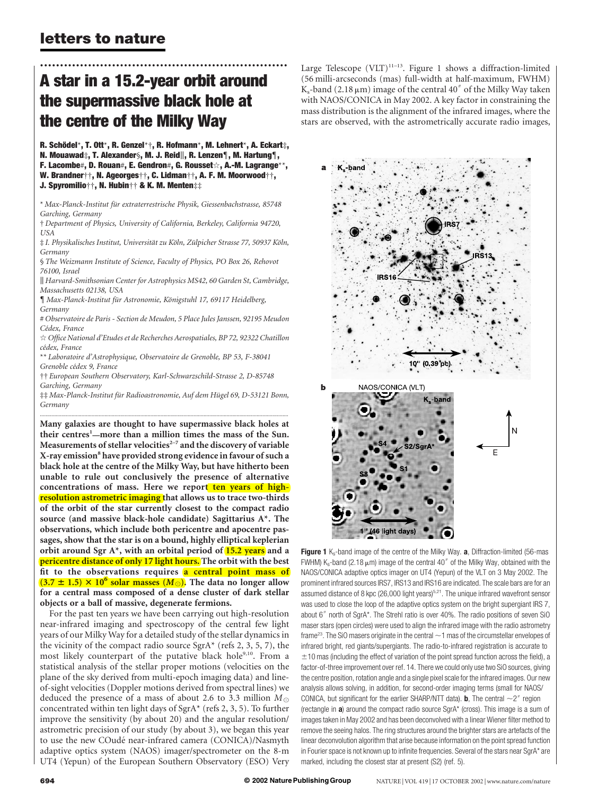## letters to nature

## .............................................................. A star in a 15.2-year orbit around the supermassive black hole at the centre of the Milky Way

R. Schödel\*, T. Ott\*, R. Genzel\*†, R. Hofmann\*, M. Lehnert\*, A. Eckart‡, N. Mouawad‡, T. Alexander§, M. J. Reid||, R. Lenzen¶, M. Hartung¶, F. Lacombe#, D. Rouan#, E. Gendron#, G. Rousset $\otimes$ , A.-M. Lagrange\*\*, W. Brandner††, N. Ageorges††, C. Lidman††, A. F. M. Moorwood††, J. Spyromilio††, N. Hubin†† & K. M. Menten‡‡

\* Max-Planck-Institut für extraterrestrische Physik, Giessenbachstrasse, 85748 Garching, Germany

† Department of Physics, University of California, Berkeley, California 94720, USA

 $\ddagger$  I. Physikalisches Institut, Universität zu Köln, Zülpicher Strasse 77, 50937 Köln, Germany

§ The Weizmann Institute of Science, Faculty of Physics, PO Box 26, Rehovot 76100, Israel

k Harvard-Smithsonian Center for Astrophysics MS42, 60 Garden St, Cambridge, Massachusetts 02138, USA

{ Max-Planck-Institut fu¨r Astronomie, Ko¨nigstuhl 17, 69117 Heidelberg, Germany

# Observatoire de Paris - Section de Meudon, 5 Place Jules Janssen, 92195 Meudon Cédex, France

 $\dot{\varphi}$  Office National d'Etudes et de Recherches Aerospatiales, BP 72, 92322 Chatillon cédex, France

\*\* Laboratoire d'Astrophysique, Observatoire de Grenoble, BP 53, F-38041 Grenoble cédex 9, France

†† European Southern Observatory, Karl-Schwarzschild-Strasse 2, D-85748 Garching, Germany

 $\ddagger$ ‡ Max-Planck-Institut für Radioastronomie, Auf dem Hügel 69, D-53121 Bonn, Germany .............................................................................................................................................................................

Many galaxies are thought to have supermassive black holes at their centres<sup>1</sup>—more than a million times the mass of the Sun. Measurements of stellar velocities $2-7$  and the discovery of variable X-ray emission<sup>8</sup> have provided strong evidence in favour of such a black hole at the centre of the Milky Way, but have hitherto been unable to rule out conclusively the presence of alternative concentrations of mass. Here we report ten years of highresolution astrometric imaging that allows us to trace two-thirds of the orbit of the star currently closest to the compact radio source (and massive black-hole candidate) Sagittarius A\*. The observations, which include both pericentre and apocentre passages, show that the star is on a bound, highly elliptical keplerian orbit around Sgr  $A^*$ , with an orbital period of  $15.2$  years and a pericentre distance of only 17 light hours. The orbit with the best fit to the observations requires a central point mass of  $(3.7 \pm 1.5) \times 10^6$  solar masses  $(M_{\odot})$ . The data no longer allow for a central mass composed of a dense cluster of dark stellar objects or a ball of massive, degenerate fermions.

For the past ten years we have been carrying out high-resolution near-infrared imaging and spectroscopy of the central few light years of our Milky Way for a detailed study of the stellar dynamics in the vicinity of the compact radio source  $SgrA<sup>*</sup>$  (refs 2, 3, 5, 7), the most likely counterpart of the putative black hole<sup>9,10</sup>. From a statistical analysis of the stellar proper motions (velocities on the plane of the sky derived from multi-epoch imaging data) and lineof-sight velocities (Doppler motions derived from spectral lines) we deduced the presence of a mass of about 2.6 to 3.3 million  $M_{\odot}$ concentrated within ten light days of SgrA\* (refs 2, 3, 5). To further improve the sensitivity (by about 20) and the angular resolution/ astrometric precision of our study (by about 3), we began this year to use the new COudé near-infrared camera (CONICA)/Nasmyth adaptive optics system (NAOS) imager/spectrometer on the 8-m UT4 (Yepun) of the European Southern Observatory (ESO) Very Large Telescope  $(VLT)^{11-13}$ . Figure 1 shows a diffraction-limited (56 milli-arcseconds (mas) full-width at half-maximum, FWHM)  $K_s$ -band (2.18  $\mu$ m) image of the central 40<sup>n</sup> of the Milky Way taken with NAOS/CONICA in May 2002. A key factor in constraining the mass distribution is the alignment of the infrared images, where the stars are observed, with the astrometrically accurate radio images,



Figure 1  $K_s$ -band image of the centre of the Milky Way. a, Diffraction-limited (56-mas FWHM)  $K_s$ -band (2.18  $\mu$ m) image of the central 40" of the Milky Way, obtained with the NAOS/CONICA adaptive optics imager on UT4 (Yepun) of the VLT on 3 May 2002. The prominent infrared sources IRS7, IRS13 and IRS16 are indicated. The scale bars are for an assumed distance of 8 kpc (26,000 light years)<sup>5,21</sup>. The unique infrared wavefront sensor was used to close the loop of the adaptive optics system on the bright supergiant IRS 7, about  $6''$  north of SgrA\*. The Strehl ratio is over 40%. The radio positions of seven SiO maser stars (open circles) were used to align the infrared image with the radio astrometry frame<sup>23</sup>. The SiO masers originate in the central  $\sim$  1 mas of the circumstellar envelopes of infrared bright, red giants/supergiants. The radio-to-infrared registration is accurate to  $\pm$  10 mas (including the effect of variation of the point spread function across the field), a factor-of-three improvement over ref. 14. There we could only use two SiO sources, giving the centre position, rotation angle and a single pixel scale for the infrared images. Our new analysis allows solving, in addition, for second-order imaging terms (small for NAOS/ CONICA, but significant for the earlier SHARP/NTT data). **b**, The central  $\sim$ 2<sup>"</sup> region (rectangle in  $a$ ) around the compact radio source SgrA\* (cross). This image is a sum of images taken in May 2002 and has been deconvolved with a linear Wiener filter method to remove the seeing halos. The ring structures around the brighter stars are artefacts of the linear deconvolution algorithm that arise because information on the point spread function in Fourier space is not known up to infinite frequencies. Several of the stars near SgrA\* are marked, including the closest star at present (S2) (ref. 5).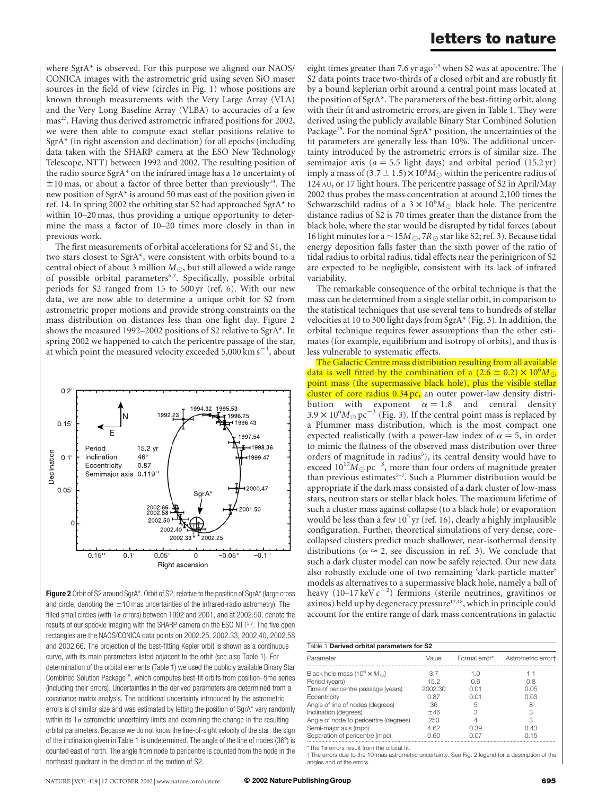where SgrA\* is observed. For this purpose we aligned our NAOS/ CONICA images with the astrometric grid using seven SiO maser sources in the field of view (circles in Fig. 1) whose positions are known through measurements with the Very Large Array (VLA) and the Very Long Baseline Array (VLBA) to accuracies of a few mas<sup>23</sup>. Having thus derived astrometric infrared positions for 2002, we were then able to compute exact stellar positions relative to SgrA\* (in right ascension and declination) for all epochs (including data taken with the SHARP camera at the ESO New Technology Telescope, NTT) between 1992 and 2002. The resulting position of the radio source SgrA\* on the infrared image has a  $1\sigma$  uncertainty of  $\pm$ 10 mas, or about a factor of three better than previously<sup>14</sup>. The new position of SgrA\* is around 50 mas east of the position given in ref. 14. In spring 2002 the orbiting star S2 had approached SgrA\* to within 10–20 mas, thus providing a unique opportunity to determine the mass a factor of 10–20 times more closely in than in previous work.

The first measurements of orbital accelerations for S2 and S1, the two stars closest to SgrA\*, were consistent with orbits bound to a central object of about 3 million  $M_{\odot}$ , but still allowed a wide range of possible orbital parameters<sup>6,7</sup>. Specifically, possible orbital periods for S2 ranged from 15 to 500 yr (ref. 6). With our new data, we are now able to determine a unique orbit for S2 from astrometric proper motions and provide strong constraints on the mass distribution on distances less than one light day. Figure 2 shows the measured 1992–2002 positions of S2 relative to SgrA\*. In spring 2002 we happened to catch the pericentre passage of the star, at which point the measured velocity exceeded  $5,000 \text{ km s}^{-1}$ , about



Figure 2 Orbit of S2 around SgrA\*. Orbit of S2, relative to the position of SgrA\* (large cross and circle, denoting the  $\pm$ 10 mas uncertainties of the infrared-radio astrometry). The filled small circles (with 1 $\sigma$  errors) between 1992 and 2001, and at 2002.50, denote the results of our speckle imaging with the SHARP camera on the ESO NTT<sup>5,7</sup>. The five open rectangles are the NAOS/CONICA data points on 2002.25, 2002.33, 2002.40, 2002.58 and 2002.66. The projection of the best-fitting Kepler orbit is shown as a continuous curve, with its main parameters listed adjacent to the orbit (see also Table 1). For determination of the orbital elements (Table 1) we used the publicly available Binary Star Combined Solution Package15, which computes best-fit orbits from position–time series (including their errors). Uncertainties in the derived parameters are determined from a covariance matrix analysis. The additional uncertainty introduced by the astrometric errors is of similar size and was estimated by letting the position of SgrA\* vary randomly within its  $1\sigma$  astrometric uncertainty limits and examining the change in the resulting orbital parameters. Because we do not know the line-of-sight velocity of the star, the sign of the inclination given in Table 1 is undetermined. The angle of the line of nodes (36 $\degree$ ) is counted east of north. The angle from node to pericentre is counted from the node in the northeast quadrant in the direction of the motion of S2.

eight times greater than 7.6 yr ago<sup>2,3</sup> when S2 was at apocentre. The S2 data points trace two-thirds of a closed orbit and are robustly fit by a bound keplerian orbit around a central point mass located at the position of SgrA\*. The parameters of the best-fitting orbit, along with their fit and astrometric errors, are given in Table 1. They were derived using the publicly available Binary Star Combined Solution Package<sup>15</sup>. For the nominal SgrA\* position, the uncertainties of the fit parameters are generally less than 10%. The additional uncertainty introduced by the astrometric errors is of similar size. The semimajor axis ( $a = 5.5$  light days) and orbital period (15.2 yr) imply a mass of  $(3.7 \pm 1.5) \times 10^6 M_{\odot}$  within the pericentre radius of 124 AU, or 17 light hours. The pericentre passage of S2 in April/May 2002 thus probes the mass concentration at around 2,100 times the Schwarzschild radius of a  $3 \times 10^6 M_{\odot}$  black hole. The pericentre distance radius of S2 is 70 times greater than the distance from the black hole, where the star would be disrupted by tidal forces (about 16 light minutes for a  $\sim$  15M  $_{\odot}$ , 7R  $_{\odot}$  star like S2; ref. 3). Because tidal energy deposition falls faster than the sixth power of the ratio of tidal radius to orbital radius, tidal effects near the perinigricon of S2 are expected to be negligible, consistent with its lack of infrared variability.

The remarkable consequence of the orbital technique is that the mass can be determined from a single stellar orbit, in comparison to the statistical techniques that use several tens to hundreds of stellar velocities at 10 to 300 light days from SgrA\* (Fig. 3). In addition, the orbital technique requires fewer assumptions than the other estimates (for example, equilibrium and isotropy of orbits), and thus is less vulnerable to systematic effects.

The Galactic Centre mass distribution resulting from all available data is well fitted by the combination of a (2.6  $\pm$  0.2)  $\times$  10<sup>6</sup>M<sub>O</sub> point mass (the supermassive black hole), plus the visible stellar cluster of core radius 0.34 pc, an outer power-law density distribution with exponent  $\alpha = 1.8$  and central density  $3.9 \times 10^{6} M_{\odot} \,\mathrm{pc}^{-3}$  (Fig. 3). If the central point mass is replaced by a Plummer mass distribution, which is the most compact one expected realistically (with a power-law index of  $\alpha = 5$ , in order to mimic the flatness of the observed mass distribution over three orders of magnitude in radius<sup>5</sup>), its central density would have to exceed  $10^{17} M_{\odot}$  pc<sup>-3</sup>, more than four orders of magnitude greater than previous estimates<sup>5-7</sup>. Such a Plummer distribution would be appropriate if the dark mass consisted of a dark cluster of low-mass stars, neutron stars or stellar black holes. The maximum lifetime of such a cluster mass against collapse (to a black hole) or evaporation would be less than a few  $10^5$  yr (ref. 16), clearly a highly implausible configuration. Further, theoretical simulations of very dense, corecollapsed clusters predict much shallower, near-isothermal density distributions ( $\alpha \approx 2$ , see discussion in ref. 3). We conclude that such a dark cluster model can now be safely rejected. Our new data also robustly exclude one of two remaining 'dark particle matter' models as alternatives to a supermassive black hole, namely a ball of heavy (10–17 keV  $c^{-2}$ ) fermions (sterile neutrinos, gravitinos or axinos) held up by degeneracy pressure<sup>17,18</sup>, which in principle could account for the entire range of dark mass concentrations in galactic

| Table 1 Derived orbital parameters for S2                  |         |               |                    |
|------------------------------------------------------------|---------|---------------|--------------------|
| Parameter                                                  | Value   | Formal error* | Astrometric errort |
| Black hole mass (10 <sup>6</sup> $\times$ M <sub>o</sub> ) | 37      | 1 N           | 1.1                |
| Period (years)                                             | 152     | 0 R           | O 8                |
| Time of pericentre passage (years)                         | 2002.30 | 0.01          | 0.05               |
| Eccentricity                                               | 0.87    | 0.01          | 0.03               |
| Angle of line of nodes (degrees)                           | 36      | 5             | 8                  |
| Inclination (degrees)                                      | $+46$   | З             | З                  |
| Angle of node to pericentre (degrees)                      | 250     | 4             | З                  |
| Semi-major axis (mpc)                                      | 4.62    | O 39          | 0.43               |
| Separation of pericentre (mpc)                             | 0.60    | 0.OZ          | O 15               |

\*The 1 $\sigma$  errors result from the orbital fit.

†The errors due to the 10-mas astrometric uncertainty. See Fig. 2 legend for a description of the angles and of the errors.